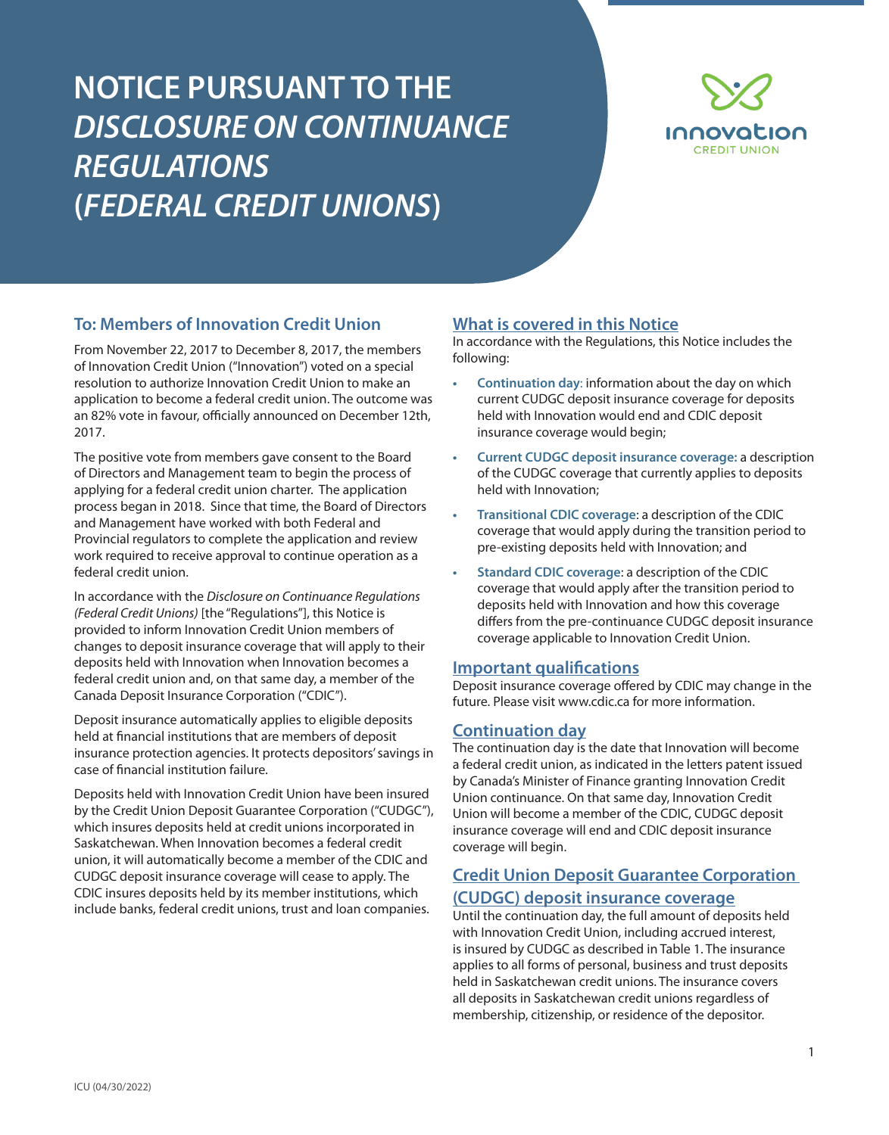# **NOTICE PURSUANT TO THE**  *DISCLOSURE ON CONTINUANCE REGULATIONS* **(***FEDERAL CREDIT UNIONS***)**



#### **To: Members of Innovation Credit Union**

From November 22, 2017 to December 8, 2017, the members of Innovation Credit Union ("Innovation") voted on a special resolution to authorize Innovation Credit Union to make an application to become a federal credit union. The outcome was an 82% vote in favour, officially announced on December 12th, 2017.

The positive vote from members gave consent to the Board of Directors and Management team to begin the process of applying for a federal credit union charter. The application process began in 2018. Since that time, the Board of Directors and Management have worked with both Federal and Provincial regulators to complete the application and review work required to receive approval to continue operation as a federal credit union.

In accordance with the *Disclosure on Continuance Regulations (Federal Credit Unions)* [the "Regulations"], this Notice is provided to inform Innovation Credit Union members of changes to deposit insurance coverage that will apply to their deposits held with Innovation when Innovation becomes a federal credit union and, on that same day, a member of the Canada Deposit Insurance Corporation ("CDIC").

Deposit insurance automatically applies to eligible deposits held at financial institutions that are members of deposit insurance protection agencies. It protects depositors' savings in case of financial institution failure.

Deposits held with Innovation Credit Union have been insured by the Credit Union Deposit Guarantee Corporation ("CUDGC"), which insures deposits held at credit unions incorporated in Saskatchewan. When Innovation becomes a federal credit union, it will automatically become a member of the CDIC and CUDGC deposit insurance coverage will cease to apply. The CDIC insures deposits held by its member institutions, which include banks, federal credit unions, trust and loan companies.

#### **What is covered in this Notice**

In accordance with the Regulations, this Notice includes the following:

- **• Continuation day**: information about the day on which current CUDGC deposit insurance coverage for deposits held with Innovation would end and CDIC deposit insurance coverage would begin;
- **• Current CUDGC deposit insurance coverage:** a description of the CUDGC coverage that currently applies to deposits held with Innovation;
- **• Transitional CDIC coverage**: a description of the CDIC coverage that would apply during the transition period to pre-existing deposits held with Innovation; and
- **• Standard CDIC coverage**: a description of the CDIC coverage that would apply after the transition period to deposits held with Innovation and how this coverage differs from the pre-continuance CUDGC deposit insurance coverage applicable to Innovation Credit Union.

#### **Important qualifications**

Deposit insurance coverage offered by CDIC may change in the future. Please visit www.cdic.ca for more information.

#### **Continuation day**

The continuation day is the date that Innovation will become a federal credit union, as indicated in the letters patent issued by Canada's Minister of Finance granting Innovation Credit Union continuance. On that same day, Innovation Credit Union will become a member of the CDIC, CUDGC deposit insurance coverage will end and CDIC deposit insurance coverage will begin.

#### **Credit Union Deposit Guarantee Corporation (CUDGC) deposit insurance coverage**

Until the continuation day, the full amount of deposits held with Innovation Credit Union, including accrued interest, is insured by CUDGC as described in Table 1. The insurance applies to all forms of personal, business and trust deposits held in Saskatchewan credit unions. The insurance covers all deposits in Saskatchewan credit unions regardless of membership, citizenship, or residence of the depositor.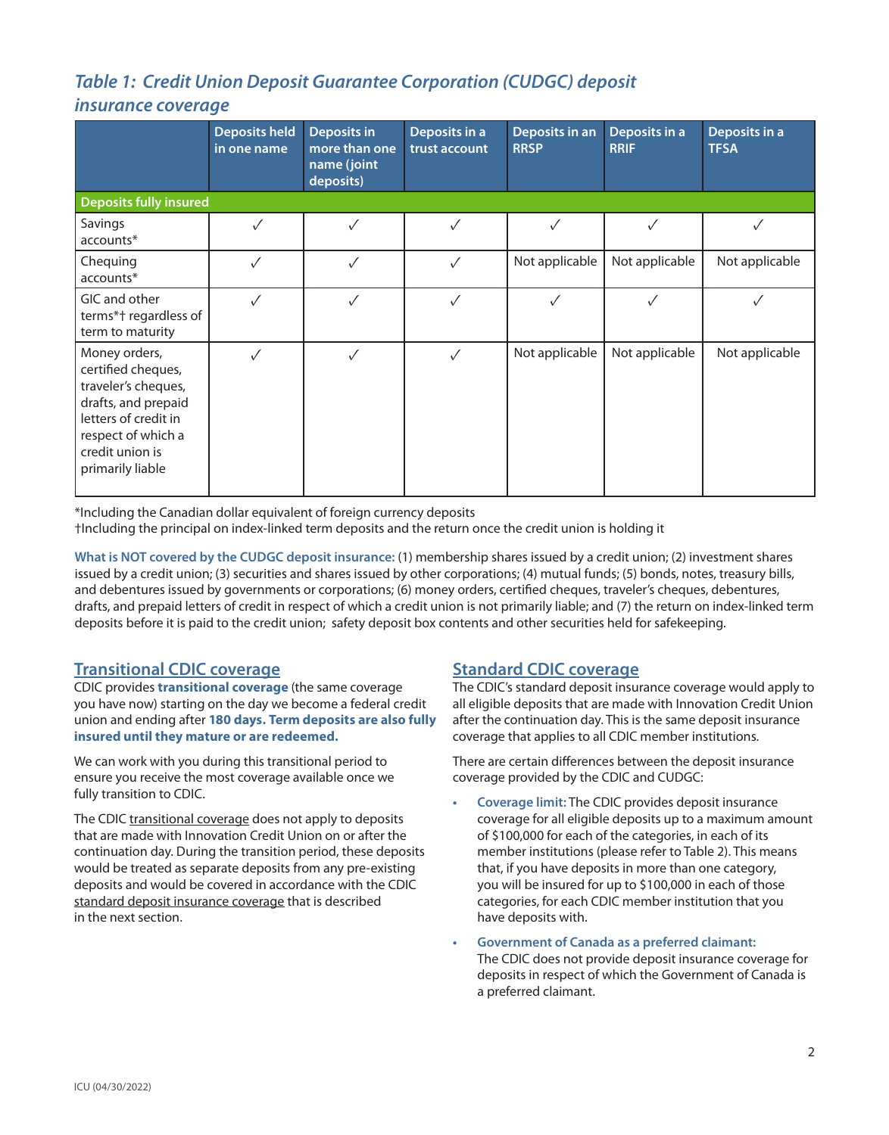# *Table 1: Credit Union Deposit Guarantee Corporation (CUDGC) deposit*

#### *insurance coverage*

|                                                                                                                                                                        | <b>Deposits held</b><br>in one name | <b>Deposits in</b><br>more than one<br>name (joint<br>deposits) | Deposits in a<br>trust account | Deposits in an<br><b>RRSP</b> | Deposits in a<br><b>RRIF</b> | Deposits in a<br><b>TFSA</b> |  |
|------------------------------------------------------------------------------------------------------------------------------------------------------------------------|-------------------------------------|-----------------------------------------------------------------|--------------------------------|-------------------------------|------------------------------|------------------------------|--|
| <b>Deposits fully insured</b>                                                                                                                                          |                                     |                                                                 |                                |                               |                              |                              |  |
| Savings<br>accounts*                                                                                                                                                   | $\checkmark$                        | ✓                                                               | $\checkmark$                   | $\checkmark$                  |                              |                              |  |
| Chequing<br>accounts*                                                                                                                                                  | $\checkmark$                        | $\checkmark$                                                    | $\checkmark$                   | Not applicable                | Not applicable               | Not applicable               |  |
| GIC and other<br>terms*† regardless of<br>term to maturity                                                                                                             | $\checkmark$                        | ✓                                                               | ✓                              | ✓                             | ✓                            |                              |  |
| Money orders,<br>certified cheques,<br>traveler's cheques,<br>drafts, and prepaid<br>letters of credit in<br>respect of which a<br>credit union is<br>primarily liable | √                                   | ✓                                                               | ✓                              | Not applicable                | Not applicable               | Not applicable               |  |

\*Including the Canadian dollar equivalent of foreign currency deposits

†Including the principal on index-linked term deposits and the return once the credit union is holding it

**What is NOT covered by the CUDGC deposit insurance:** (1) membership shares issued by a credit union; (2) investment shares issued by a credit union; (3) securities and shares issued by other corporations; (4) mutual funds; (5) bonds, notes, treasury bills, and debentures issued by governments or corporations; (6) money orders, certified cheques, traveler's cheques, debentures, drafts, and prepaid letters of credit in respect of which a credit union is not primarily liable; and (7) the return on index-linked term deposits before it is paid to the credit union; safety deposit box contents and other securities held for safekeeping.

#### **Transitional CDIC coverage**

CDIC provides **transitional coverage** (the same coverage you have now) starting on the day we become a federal credit union and ending after **180 days. Term deposits are also fully insured until they mature or are redeemed.** 

We can work with you during this transitional period to ensure you receive the most coverage available once we fully transition to CDIC.

The CDIC transitional coverage does not apply to deposits that are made with Innovation Credit Union on or after the continuation day. During the transition period, these deposits would be treated as separate deposits from any pre-existing deposits and would be covered in accordance with the CDIC standard deposit insurance coverage that is described in the next section.

#### **Standard CDIC coverage**

The CDIC's standard deposit insurance coverage would apply to all eligible deposits that are made with Innovation Credit Union after the continuation day. This is the same deposit insurance coverage that applies to all CDIC member institutions.

There are certain differences between the deposit insurance coverage provided by the CDIC and CUDGC:

- **• Coverage limit:** The CDIC provides deposit insurance coverage for all eligible deposits up to a maximum amount of \$100,000 for each of the categories, in each of its member institutions (please refer to Table 2). This means that, if you have deposits in more than one category, you will be insured for up to \$100,000 in each of those categories, for each CDIC member institution that you have deposits with.
- **• Government of Canada as a preferred claimant:**  The CDIC does not provide deposit insurance coverage for deposits in respect of which the Government of Canada is a preferred claimant.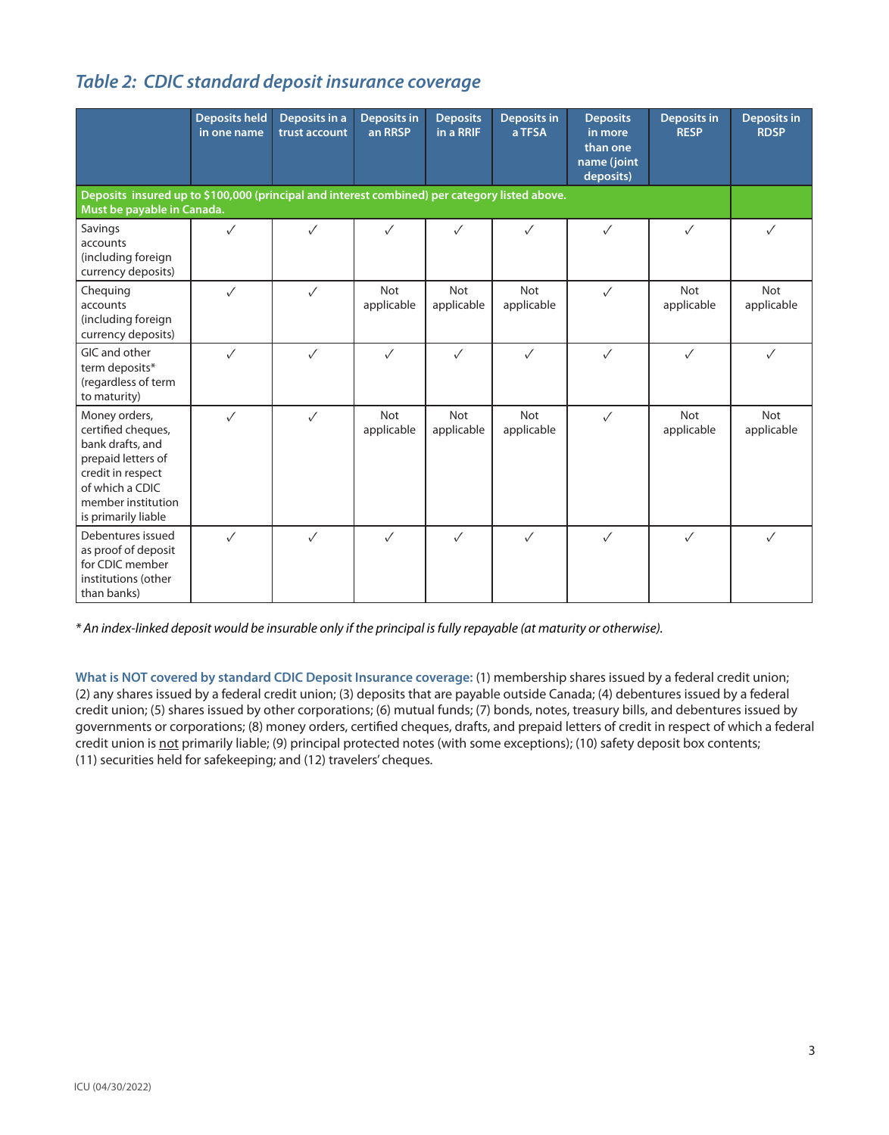### *Table 2: CDIC standard deposit insurance coverage*

|                                                                                                                                                                    | <b>Deposits held</b><br>in one name | Deposits in a<br>trust account | <b>Deposits in</b><br>an RRSP | <b>Deposits</b><br>in a RRIF | <b>Deposits in</b><br>a TFSA | <b>Deposits</b><br>in more<br>than one<br>name (joint<br>deposits) | <b>Deposits in</b><br><b>RESP</b> | <b>Deposits in</b><br><b>RDSP</b> |
|--------------------------------------------------------------------------------------------------------------------------------------------------------------------|-------------------------------------|--------------------------------|-------------------------------|------------------------------|------------------------------|--------------------------------------------------------------------|-----------------------------------|-----------------------------------|
| Deposits insured up to \$100,000 (principal and interest combined) per category listed above.<br>Must be payable in Canada.                                        |                                     |                                |                               |                              |                              |                                                                    |                                   |                                   |
| Savings<br>accounts<br>(including foreign<br>currency deposits)                                                                                                    | $\checkmark$                        | $\checkmark$                   | $\checkmark$                  | $\checkmark$                 | $\checkmark$                 | ✓                                                                  | $\checkmark$                      | ✓                                 |
| Chequing<br>accounts<br>(including foreign<br>currency deposits)                                                                                                   | $\checkmark$                        | $\checkmark$                   | <b>Not</b><br>applicable      | Not<br>applicable            | <b>Not</b><br>applicable     | $\checkmark$                                                       | <b>Not</b><br>applicable          | <b>Not</b><br>applicable          |
| GIC and other<br>term deposits*<br>(regardless of term<br>to maturity)                                                                                             | $\checkmark$                        | $\checkmark$                   | $\checkmark$                  | $\checkmark$                 | $\checkmark$                 | $\checkmark$                                                       | $\checkmark$                      | $\sqrt{}$                         |
| Money orders,<br>certified cheques,<br>bank drafts, and<br>prepaid letters of<br>credit in respect<br>of which a CDIC<br>member institution<br>is primarily liable | $\checkmark$                        | $\checkmark$                   | <b>Not</b><br>applicable      | Not<br>applicable            | <b>Not</b><br>applicable     | $\checkmark$                                                       | Not<br>applicable                 | <b>Not</b><br>applicable          |
| Debentures issued<br>as proof of deposit<br>for CDIC member<br>institutions (other<br>than banks)                                                                  | $\checkmark$                        | $\checkmark$                   | $\checkmark$                  | $\sqrt{}$                    | $\checkmark$                 | $\checkmark$                                                       | $\checkmark$                      | $\sqrt{}$                         |

*\* An index-linked deposit would be insurable only if the principal is fully repayable (at maturity or otherwise).*

**What is NOT covered by standard CDIC Deposit Insurance coverage:** (1) membership shares issued by a federal credit union; (2) any shares issued by a federal credit union; (3) deposits that are payable outside Canada; (4) debentures issued by a federal credit union; (5) shares issued by other corporations; (6) mutual funds; (7) bonds, notes, treasury bills, and debentures issued by governments or corporations; (8) money orders, certified cheques, drafts, and prepaid letters of credit in respect of which a federal credit union is not primarily liable; (9) principal protected notes (with some exceptions); (10) safety deposit box contents; (11) securities held for safekeeping; and (12) travelers' cheques.